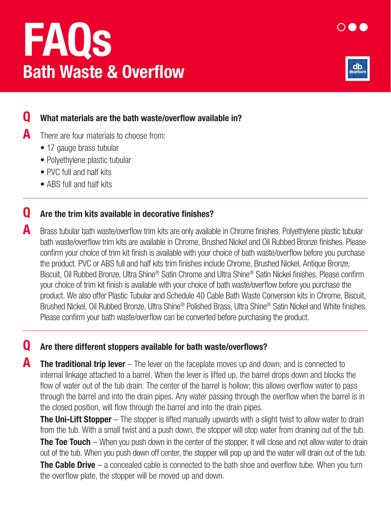## FAQs Bath Waste & Overflow



## **Q** What materials are the bath waste/overflow available in?

 $\mathbf A$  There are four materials to choose from:

- 17 gauge brass tubular
- Polyethylene plastic tubular
- PVC full and half kits
- ABS full and half kits

### **Q** Are the trim kits available in decorative finishes?

**A** Brass tubular bath waste/overflow trim kits are only available in Chrome finishes. Polyethylene plastic tubular bath waste/overflow trim kits are available in Chrome, Brushed Nickel and Oil Rubbed Bronze finishes. Please confirm your choice of trim kit finish is available with your choice of bath waste/overflow before you purchase the product. PVC or ABS full and half kits trim finishes include Chrome, Brushed Nickel, Antique Bronze, Biscuit, Oil Rubbed Bronze, Ultra Shine® Satin Chrome and Ultra Shine® Satin Nickel finishes. Please confirm your choice of trim kit finish is available with your choice of bath waste/overflow before you purchase the product. We also offer Plastic Tubular and Schedule 40 Cable Bath Waste Conversion kits in Chrome, Biscuit, Brushed Nickel, Oil Rubbed Bronze, Ultra Shine® Polished Brass, Ultra Shine® Satin Nickel and White finishes. Please confirm your bath waste/overflow can be converted before purchasing the product.

#### Q Are there different stoppers available for bath waste/overflows?

**A** The traditional trip lever – The lever on the faceplate moves up and down, and is connected to internal linkage attached to a barrel. When the lever is lifted up, the barrel drops down and blocks the flow of water out of the tub drain. The center of the barrel is hollow; this allows overflow water to pass through the barrel and into the drain pipes. Any water passing through the overflow when the barrel is in the closed position, will flow through the barrel and into the drain pipes.

**The Uni-Lift Stopper** – The stopper is lifted manually upwards with a slight twist to allow water to drain from the tub. With a small twist and a push down, the stopper will stop water from draining out of the tub. **The Toe Touch** – When you push down in the center of the stopper, it will close and not allow water to drain out of the tub. When you push down off center, the stopper will pop up and the water will drain out of the tub. **The Cable Drive** – a concealed cable is connected to the bath shoe and overflow tube. When you turn

the overflow plate, the stopper will be moved up and down.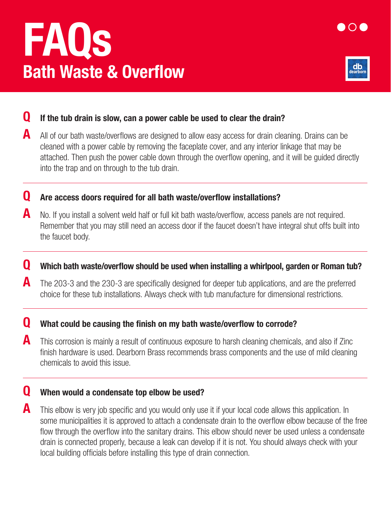# FAQs Bath Waste & Overflow



#### $\mathbf Q$  If the tub drain is slow, can a power cable be used to clear the drain?

A All of our bath waste/overflows are designed to allow easy access for drain cleaning. Drains can be cleaned with a power cable by removing the faceplate cover, and any interior linkage that may be attached. Then push the power cable down through the overflow opening, and it will be guided directly into the trap and on through to the tub drain.

#### Q Are access doors required for all bath waste/overflow installations?

A No. If you install a solvent weld half or full kit bath waste/overflow, access panels are not required. Remember that you may still need an access door if the faucet doesn't have integral shut offs built into the faucet body.

#### Q Which bath waste/overflow should be used when installing a whirlpool, garden or Roman tub?

 $\blacktriangle$  The 203-3 and the 230-3 are specifically designed for deeper tub applications, and are the preferred choice for these tub installations. Always check with tub manufacture for dimensional restrictions.

#### **Q** What could be causing the finish on my bath waste/overflow to corrode?

**A** This corrosion is mainly a result of continuous exposure to harsh cleaning chemicals, and also if Zinc finish hardware is used. Dearborn Brass recommends brass components and the use of mild cleaning chemicals to avoid this issue.

#### **Q** When would a condensate top elbow be used?

**A** This elbow is very job specific and you would only use it if your local code allows this application. In some municipalities it is approved to attach a condensate drain to the overflow elbow because of the free flow through the overflow into the sanitary drains. This elbow should never be used unless a condensate drain is connected properly, because a leak can develop if it is not. You should always check with your local building officials before installing this type of drain connection.